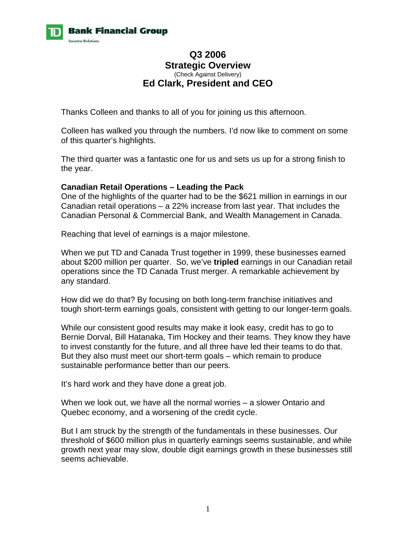

# **Q3 2006 Strategic Overview**  (Check Against Delivery) **Ed Clark, President and CEO**

Thanks Colleen and thanks to all of you for joining us this afternoon.

Colleen has walked you through the numbers. I'd now like to comment on some of this quarter's highlights.

The third quarter was a fantastic one for us and sets us up for a strong finish to the year.

## **Canadian Retail Operations – Leading the Pack**

One of the highlights of the quarter had to be the \$621 million in earnings in our Canadian retail operations – a 22% increase from last year. That includes the Canadian Personal & Commercial Bank, and Wealth Management in Canada.

Reaching that level of earnings is a major milestone.

When we put TD and Canada Trust together in 1999, these businesses earned about \$200 million per quarter. So, we've **tripled** earnings in our Canadian retail operations since the TD Canada Trust merger. A remarkable achievement by any standard.

How did we do that? By focusing on both long-term franchise initiatives and tough short-term earnings goals, consistent with getting to our longer-term goals.

While our consistent good results may make it look easy, credit has to go to Bernie Dorval, Bill Hatanaka, Tim Hockey and their teams. They know they have to invest constantly for the future, and all three have led their teams to do that. But they also must meet our short-term goals – which remain to produce sustainable performance better than our peers.

It's hard work and they have done a great job.

When we look out, we have all the normal worries – a slower Ontario and Quebec economy, and a worsening of the credit cycle.

But I am struck by the strength of the fundamentals in these businesses. Our threshold of \$600 million plus in quarterly earnings seems sustainable, and while growth next year may slow, double digit earnings growth in these businesses still seems achievable.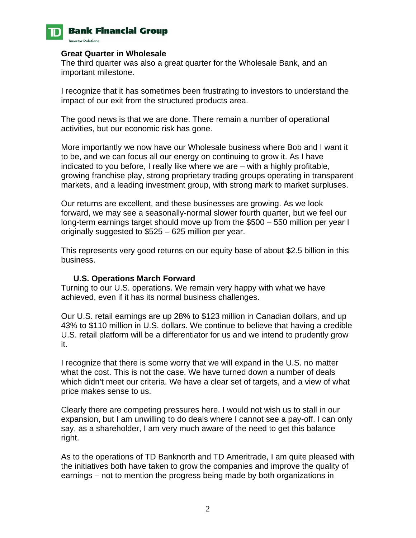

# **Bank Financial Group**

**Investor Relations.** 

#### **Great Quarter in Wholesale**

The third quarter was also a great quarter for the Wholesale Bank, and an important milestone.

I recognize that it has sometimes been frustrating to investors to understand the impact of our exit from the structured products area.

The good news is that we are done. There remain a number of operational activities, but our economic risk has gone.

More importantly we now have our Wholesale business where Bob and I want it to be, and we can focus all our energy on continuing to grow it. As I have indicated to you before, I really like where we are – with a highly profitable, growing franchise play, strong proprietary trading groups operating in transparent markets, and a leading investment group, with strong mark to market surpluses.

Our returns are excellent, and these businesses are growing. As we look forward, we may see a seasonally-normal slower fourth quarter, but we feel our long-term earnings target should move up from the \$500 – 550 million per year I originally suggested to \$525 – 625 million per year.

This represents very good returns on our equity base of about \$2.5 billion in this business.

# **U.S. Operations March Forward**

Turning to our U.S. operations. We remain very happy with what we have achieved, even if it has its normal business challenges.

Our U.S. retail earnings are up 28% to \$123 million in Canadian dollars, and up 43% to \$110 million in U.S. dollars. We continue to believe that having a credible U.S. retail platform will be a differentiator for us and we intend to prudently grow it.

I recognize that there is some worry that we will expand in the U.S. no matter what the cost. This is not the case. We have turned down a number of deals which didn't meet our criteria. We have a clear set of targets, and a view of what price makes sense to us.

Clearly there are competing pressures here. I would not wish us to stall in our expansion, but I am unwilling to do deals where I cannot see a pay-off. I can only say, as a shareholder, I am very much aware of the need to get this balance right.

As to the operations of TD Banknorth and TD Ameritrade, I am quite pleased with the initiatives both have taken to grow the companies and improve the quality of earnings – not to mention the progress being made by both organizations in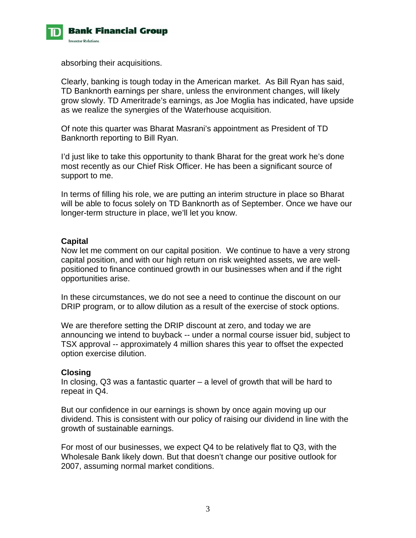

absorbing their acquisitions.

Clearly, banking is tough today in the American market. As Bill Ryan has said, TD Banknorth earnings per share, unless the environment changes, will likely grow slowly. TD Ameritrade's earnings, as Joe Moglia has indicated, have upside as we realize the synergies of the Waterhouse acquisition.

Of note this quarter was Bharat Masrani's appointment as President of TD Banknorth reporting to Bill Ryan.

I'd just like to take this opportunity to thank Bharat for the great work he's done most recently as our Chief Risk Officer. He has been a significant source of support to me.

In terms of filling his role, we are putting an interim structure in place so Bharat will be able to focus solely on TD Banknorth as of September. Once we have our longer-term structure in place, we'll let you know.

## **Capital**

Now let me comment on our capital position. We continue to have a very strong capital position, and with our high return on risk weighted assets, we are wellpositioned to finance continued growth in our businesses when and if the right opportunities arise.

In these circumstances, we do not see a need to continue the discount on our DRIP program, or to allow dilution as a result of the exercise of stock options.

We are therefore setting the DRIP discount at zero, and today we are announcing we intend to buyback -- under a normal course issuer bid, subject to TSX approval -- approximately 4 million shares this year to offset the expected option exercise dilution.

#### **Closing**

In closing, Q3 was a fantastic quarter – a level of growth that will be hard to repeat in Q4.

But our confidence in our earnings is shown by once again moving up our dividend. This is consistent with our policy of raising our dividend in line with the growth of sustainable earnings.

For most of our businesses, we expect Q4 to be relatively flat to Q3, with the Wholesale Bank likely down. But that doesn't change our positive outlook for 2007, assuming normal market conditions.